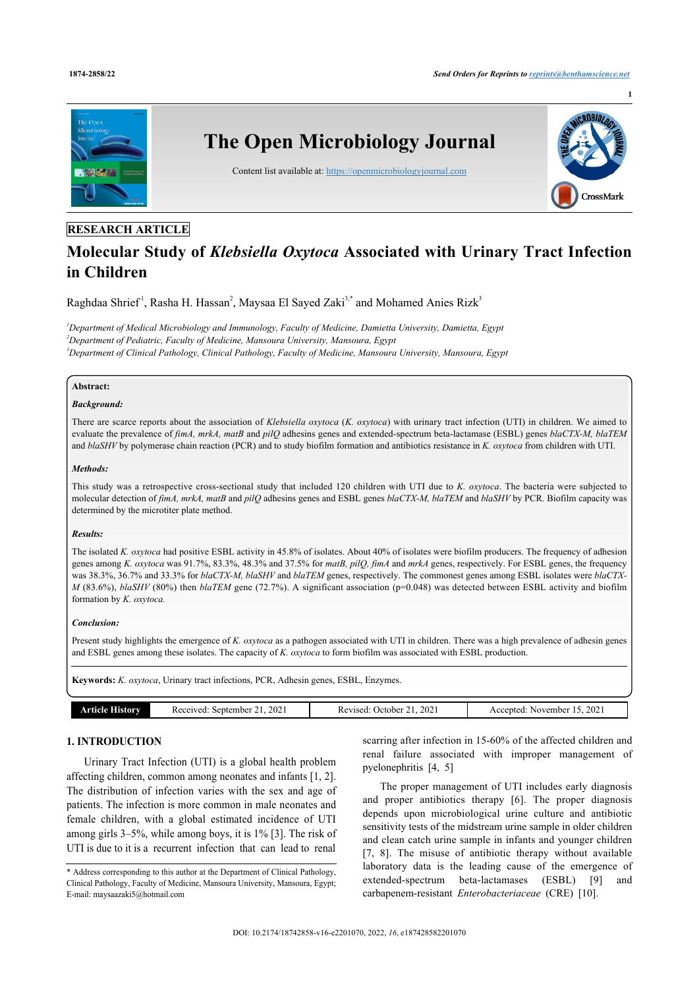**1**



# **RESEARCH ARTICLE**

# **Molecular Study of** *Klebsiella Oxytoca* **Associated with Urinary Tract Infection in Children**

Raghdaa Shrief<sup>1</sup>, Rasha H. Hassan<sup>[2](#page-0-1)</sup>, Maysaa El Sayed Zaki<sup>[3,](#page-0-2)[\\*](#page-0-3)</sup> and Mohamed Anies Rizk<sup>[3](#page-0-2)</sup>

<span id="page-0-2"></span><span id="page-0-1"></span><span id="page-0-0"></span>*<sup>1</sup>Department of Medical Microbiology and Immunology, Faculty of Medicine, Damietta University, Damietta, Egypt <sup>2</sup>Department of Pediatric, Faculty of Medicine, Mansoura University, Mansoura, Egypt <sup>3</sup>Department of Clinical Pathology, Clinical Pathology, Faculty of Medicine, Mansoura University, Mansoura, Egypt*

# **Abstract:**

## *Background:*

There are scarce reports about the association of *Klebsiella oxytoca* (*K. oxytoca*) with urinary tract infection (UTI) in children. We aimed to evaluate the prevalence of *fimA, mrkA, matB* and *pilQ* adhesins genes and extended-spectrum beta-lactamase (ESBL) genes *blaCTX-M, blaTEM* and *blaSHV* by polymerase chain reaction (PCR) and to study biofilm formation and antibiotics resistance in *K. oxytoca* from children with UTI.

#### *Methods:*

This study was a retrospective cross-sectional study that included 120 children with UTI due to *K. oxytoca*. The bacteria were subjected to molecular detection of *fimA, mrkA, matB* and *pilQ* adhesins genes and ESBL genes *blaCTX-M, blaTEM* and *blaSHV* by PCR. Biofilm capacity was determined by the microtiter plate method.

# *Results:*

The isolated *K. oxytoca* had positive ESBL activity in 45.8% of isolates. About 40% of isolates were biofilm producers. The frequency of adhesion genes among *K. oxytoca* was 91.7%, 83.3%, 48.3% and 37.5% for *matB, pilQ, fimA* and *mrkA* genes, respectively. For ESBL genes, the frequency was 38.3%, 36.7% and 33.3% for *blaCTX-M, blaSHV* and *blaTEM* genes, respectively. The commonest genes among ESBL isolates were *blaCTX-M* (83.6%), *blaSHV* (80%) then *blaTEM* gene (72.7%). A significant association (p=0.048) was detected between ESBL activity and biofilm formation by *K. oxytoca.*

#### *Conclusion:*

Present study highlights the emergence of *K. oxytoca* as a pathogen associated with UTI in children. There was a high prevalence of adhesin genes and ESBL genes among these isolates. The capacity of *K. oxytoca* to form biofilm was associated with ESBL production.

**Keywords:** *K. oxytoca*, Urinary tract infections, PCR, Adhesin genes, ESBL, Enzymes.

| <b>JIMOTY</b><br>ıcle | 2021<br>September<br>Received: | 2021<br>. Jetober<br>Revised | 202<br>Accepted:<br>November |
|-----------------------|--------------------------------|------------------------------|------------------------------|

# **1. INTRODUCTION**

Urinary Tract Infection (UTI) is a global health problem affecting children, common among neonates and infants [\[1,](#page-6-0) [2](#page-6-1)]. The distribution of infection varies with the sex and age of patients. The infection is more common in male neonates and female children, with a global estimated incidence of UTI among girls 3–5%, while among boys, it is 1% [[3](#page-6-2)]. The risk of UTI is due to it is a recurrent infection that can lead to renal

scarring after infection in 15-60% of the affected children and renal failure associated with improper management of pyelonephritis[[4](#page-6-3), [5](#page-6-4)]

The proper management of UTI includes early diagnosis and proper antibiotics therapy [\[6\]](#page-6-5). The proper diagnosis depends upon microbiological urine culture and antibiotic sensitivity tests of the midstream urine sample in older children and clean catch urine sample in infants and younger children [[7,](#page-6-6) [8](#page-6-7)]. The misuse of antibiotic therapy without available laboratory data is the leading cause of the emergence of extended-spectrum beta-lactamases (ESBL)[[9](#page-6-8)] and carbapenem-resistant *Enterobacteriaceae* (CRE)[[10\]](#page-6-9).

<span id="page-0-3"></span><sup>\*</sup> Address corresponding to this author at the Department of Clinical Pathology, Clinical Pathology, Faculty of Medicine, Mansoura University, Mansoura, Egypt; E-mail: [maysaazaki5@hotmail.com](mailto:maysaazaki5@hotmail.com)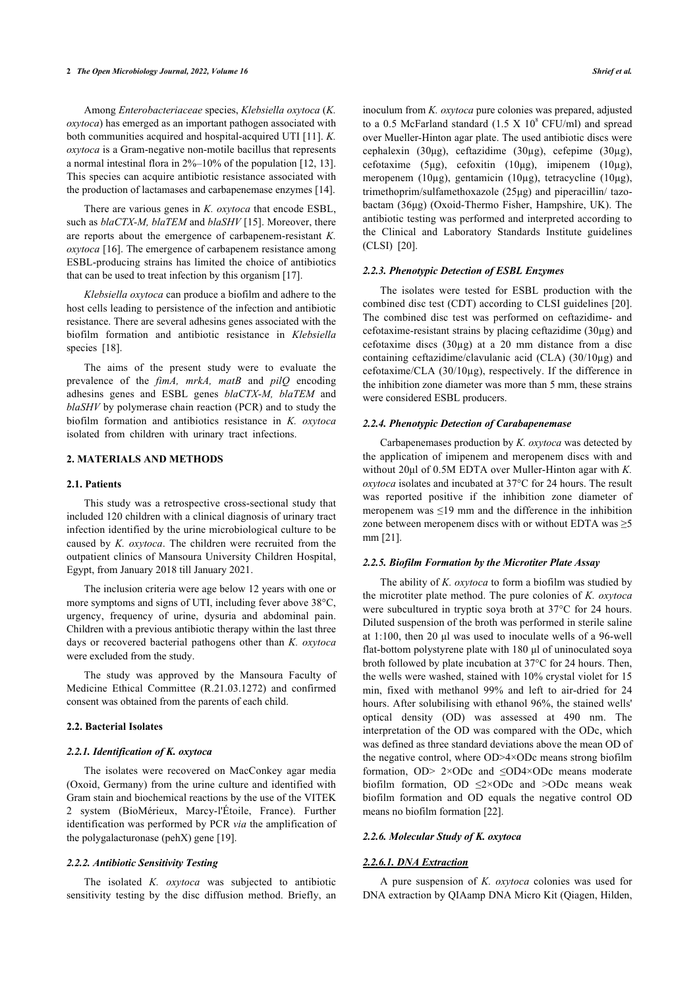Among *Enterobacteriaceae* species, *Klebsiella oxytoca* (*K. oxytoca*) has emerged as an important pathogen associated with both communities acquired and hospital-acquired UTI [[11](#page-6-10)]. *K. oxytoca* is a Gram-negative non-motile bacillus that represents a normal intestinal flora in 2%–10% of the population [\[12](#page-6-11), [13](#page-6-12)]. This species can acquire antibiotic resistance associated with the production of lactamases and carbapenemase enzymes [\[14](#page-6-13)].

There are various genes in *K. oxytoca* that encode ESBL, such as *blaCTX-M, blaTEM* and *blaSHV* [[15\]](#page-6-14). Moreover, there are reports about the emergence of carbapenem-resistant *K. oxytoca* [[16\]](#page-6-15). The emergence of carbapenem resistance among ESBL-producing strains has limited the choice of antibiotics that can be used to treat infection by this organism [[17\]](#page-6-16).

*Klebsiella oxytoca* can produce a biofilm and adhere to the host cells leading to persistence of the infection and antibiotic resistance. There are several adhesins genes associated with the biofilm formation and antibiotic resistance in *Klebsiella* species[[18\]](#page-6-17).

The aims of the present study were to evaluate the prevalence of the *fimA, mrkA, matB* and *pilQ* encoding adhesins genes and ESBL genes *blaCTX-M, blaTEM* and *blaSHV* by polymerase chain reaction (PCR) and to study the biofilm formation and antibiotics resistance in *K. oxytoca* isolated from children with urinary tract infections.

### **2. MATERIALS AND METHODS**

#### **2.1. Patients**

This study was a retrospective cross-sectional study that included 120 children with a clinical diagnosis of urinary tract infection identified by the urine microbiological culture to be caused by *K. oxytoca*. The children were recruited from the outpatient clinics of Mansoura University Children Hospital, Egypt, from January 2018 till January 2021.

The inclusion criteria were age below 12 years with one or more symptoms and signs of UTI, including fever above 38°C, urgency, frequency of urine, dysuria and abdominal pain. Children with a previous antibiotic therapy within the last three days or recovered bacterial pathogens other than *K. oxytoca* were excluded from the study.

The study was approved by the Mansoura Faculty of Medicine Ethical Committee (R.21.03.1272) and confirmed consent was obtained from the parents of each child.

#### **2.2. Bacterial Isolates**

#### *2.2.1. Identification of K. oxytoca*

The isolates were recovered on MacConkey agar media (Oxoid, Germany) from the urine culture and identified with Gram stain and biochemical reactions by the use of the VITEK 2 system (BioMérieux, Marcy-l'Étoile, France). Further identification was performed by PCR *via* the amplification of the polygalacturonase (pehX) gene [[19\]](#page-6-18).

#### *2.2.2. Antibiotic Sensitivity Testing*

The isolated *K. oxytoca* was subjected to antibiotic sensitivity testing by the disc diffusion method. Briefly, an

inoculum from *K. oxytoca* pure colonies was prepared, adjusted to a 0.5 McFarland standard  $(1.5 \text{ X } 10^8 \text{ CFU/ml})$  and spread over Mueller-Hinton agar plate. The used antibiotic discs were cephalexin (30μg), ceftazidime (30µg), cefepime (30µg), cefotaxime (5μg), cefoxitin (10μg), imipenem (10µg), meropenem (10µg), gentamicin (10µg), tetracycline (10μg), trimethoprim/sulfamethoxazole (25μg) and piperacillin/ tazobactam (36μg) (Oxoid-Thermo Fisher, Hampshire, UK). The antibiotic testing was performed and interpreted according to the Clinical and Laboratory Standards Institute guidelines (CLSI)[[20\]](#page-6-19).

#### *2.2.3. Phenotypic Detection of ESBL Enzymes*

The isolates were tested for ESBL production with the combined disc test (CDT) according to CLSI guidelines [[20](#page-6-19)]. The combined disc test was performed on ceftazidime- and cefotaxime-resistant strains by placing ceftazidime (30µg) and cefotaxime discs  $(30\mu g)$  at a 20 mm distance from a disc containing ceftazidime/clavulanic acid (CLA) (30/10µg) and cefotaxime/CLA (30/10µg), respectively. If the difference in the inhibition zone diameter was more than 5 mm, these strains were considered ESBL producers.

#### *2.2.4. Phenotypic Detection of Carabapenemase*

Carbapenemases production by *K. oxytoca* was detected by the application of imipenem and meropenem discs with and without 20μl of 0.5M EDTA over Muller-Hinton agar with *K. oxytoca* isolates and incubated at 37°C for 24 hours. The result was reported positive if the inhibition zone diameter of meropenem was ≤19 mm and the difference in the inhibition zone between meropenem discs with or without EDTA was  $\geq$ 5 mm [\[21](#page-6-20)].

# *2.2.5. Biofilm Formation by the Microtiter Plate Assay*

The ability of *K. oxytoca* to form a biofilm was studied by the microtiter plate method. The pure colonies of *K. oxytoca* were subcultured in tryptic soya broth at 37°C for 24 hours. Diluted suspension of the broth was performed in sterile saline at 1:100, then 20 μl was used to inoculate wells of a 96-well flat-bottom polystyrene plate with 180 μl of uninoculated soya broth followed by plate incubation at 37°C for 24 hours. Then, the wells were washed, stained with 10% crystal violet for 15 min, fixed with methanol 99% and left to air-dried for 24 hours. After solubilising with ethanol 96%, the stained wells' optical density (OD) was assessed at 490 nm. The interpretation of the OD was compared with the ODc, which was defined as three standard deviations above the mean OD of the negative control, where OD>4×ODc means strong biofilm formation, OD> 2×ODc and ≤OD4×ODc means moderate biofilm formation, OD  $\leq$ 2×ODc and >ODc means weak biofilm formation and OD equals the negative control OD means no biofilm formation [[22\]](#page-7-0).

#### *2.2.6. Molecular Study of K. oxytoca*

#### *2.2.6.1. DNA Extraction*

A pure suspension of *K. oxytoca* colonies was used for DNA extraction by QIAamp DNA Micro Kit (Qiagen, Hilden,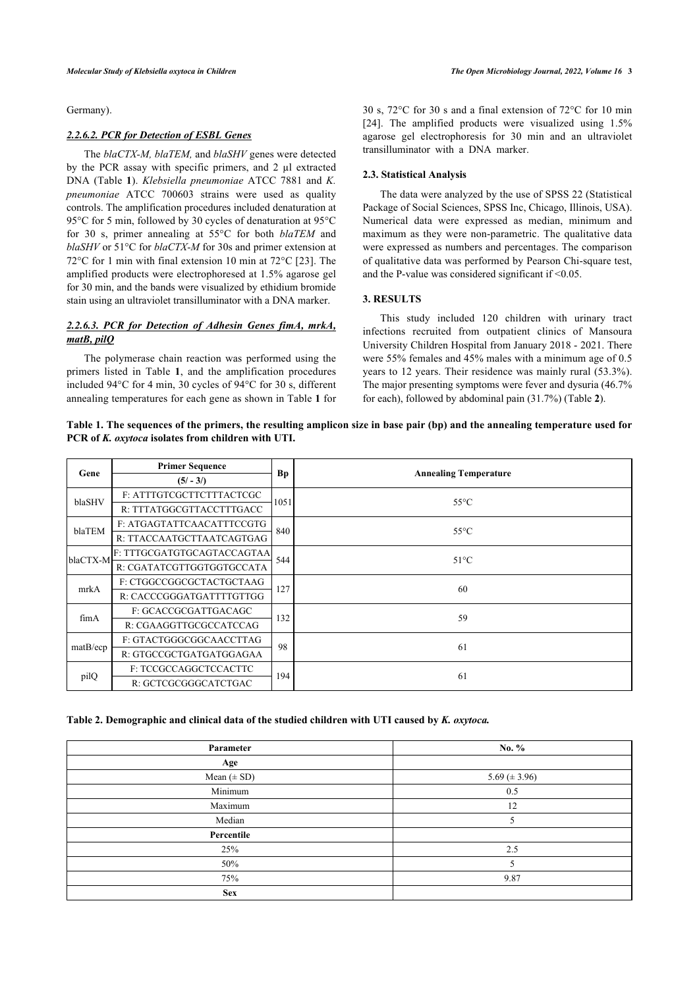Germany).

# *2.2.6.2. PCR for Detection of ESBL Genes*

The *blaCTX-M, blaTEM,* and *blaSHV* genes were detected by the PCR assay with specific primers, and 2 µl extracted DNA (Table**1**). *Klebsiella pneumoniae* ATCC 7881 and *K. pneumoniae* ATCC 700603 strains were used as quality controls. The amplification procedures included denaturation at 95°C for 5 min, followed by 30 cycles of denaturation at 95°C for 30 s, primer annealing at 55°C for both *blaTEM* and *blaSHV* or 51°C for *blaCTX-M* for 30s and primer extension at 72°C for 1 min with final extension 10 min at 72°C [[23](#page-7-1)]. The amplified products were electrophoresed at 1.5% agarose gel for 30 min, and the bands were visualized by ethidium bromide stain using an ultraviolet transilluminator with a DNA marker.

# *2.2.6.3. PCR for Detection of Adhesin Genes fimA, mrkA, matB, pilQ*

The polymerase chain reaction was performed using the primers listed in Table**1**, and the amplification procedures included 94°C for 4 min, 30 cycles of 94°C for 30 s, different annealing temperatures for each gene as shown in Table **[1](#page-2-0)** for 30 s, 72°C for 30 s and a final extension of 72°C for 10 min [[24](#page-7-2)]. The amplified products were visualized using 1.5% agarose gel electrophoresis for 30 min and an ultraviolet transilluminator with a DNA marker.

# **2.3. Statistical Analysis**

The data were analyzed by the use of SPSS 22 (Statistical Package of Social Sciences, SPSS Inc, Chicago, Illinois, USA). Numerical data were expressed as median, minimum and maximum as they were non-parametric. The qualitative data were expressed as numbers and percentages. The comparison of qualitative data was performed by Pearson Chi-square test, and the P-value was considered significant if <0.05.

#### **3. RESULTS**

This study included 120 children with urinary tract infections recruited from outpatient clinics of Mansoura University Children Hospital from January 2018 - 2021. There were 55% females and 45% males with a minimum age of 0.5 years to 12 years. Their residence was mainly rural (53.3%). The major presenting symptoms were fever and dysuria (46.7% for each), followed by abdominal pain (31.7%) (Table **[2](#page-2-1)**).

<span id="page-2-0"></span>**Table 1. The sequences of the primers, the resulting amplicon size in base pair (bp) and the annealing temperature used for PCR of** *K. oxytoca* **isolates from children with UTI.**

| Gene     | <b>Primer Sequence</b>     | Bp   |                              |
|----------|----------------------------|------|------------------------------|
|          | $(5/-3/)$                  |      | <b>Annealing Temperature</b> |
| blaSHV   | F: ATTTGTCGCTTCTTTACTCGC   | 1051 | $55^{\circ}$ C               |
|          | R: TTTATGGCGTTACCTTTGACC   |      |                              |
|          | F. ATGAGTATTCAACATTTCCGTG  |      |                              |
| blaTEM   | R: TTACCAATGCTTAATCAGTGAG  | 840  | $55^{\circ}$ C               |
|          | F: TTTGCGATGTGCAGTACCAGTAA | 544  | $51^{\circ}$ C               |
| blaCTX-M | R: CGATATCGTTGGTGGTGCCATA  |      |                              |
| mrkA     | F: CTGGCCGGCGCTACTGCTAAG   | 127  | 60                           |
|          | R: CACCCGGGATGATTTTGTTGG   |      |                              |
| fimA     | F: GCACCGCGATTGACAGC       | 132  | 59                           |
|          | R: CGAAGGTTGCGCCATCCAG     |      |                              |
| matB/ecp | F: GTACTGGGCGGCAACCTTAG    | 98   | 61                           |
|          | R: GTGCCGCTGATGATGGAGAA    |      |                              |
| pilQ     | F: TCCGCCAGGCTCCACTTC      | 194  | 61                           |
|          | R: GCTCGCGGGCATCTGAC       |      |                              |

<span id="page-2-1"></span>**Table 2. Demographic and clinical data of the studied children with UTI caused by** *K. oxytoca.*

| Parameter       | No. $%$            |
|-----------------|--------------------|
| Age             |                    |
| Mean $(\pm SD)$ | 5.69 ( $\pm$ 3.96) |
| Minimum         | 0.5                |
| Maximum         | 12                 |
| Median          |                    |
| Percentile      |                    |
| 25%             | 2.5                |
| 50%             |                    |
| 75%             | 9.87               |
| <b>Sex</b>      |                    |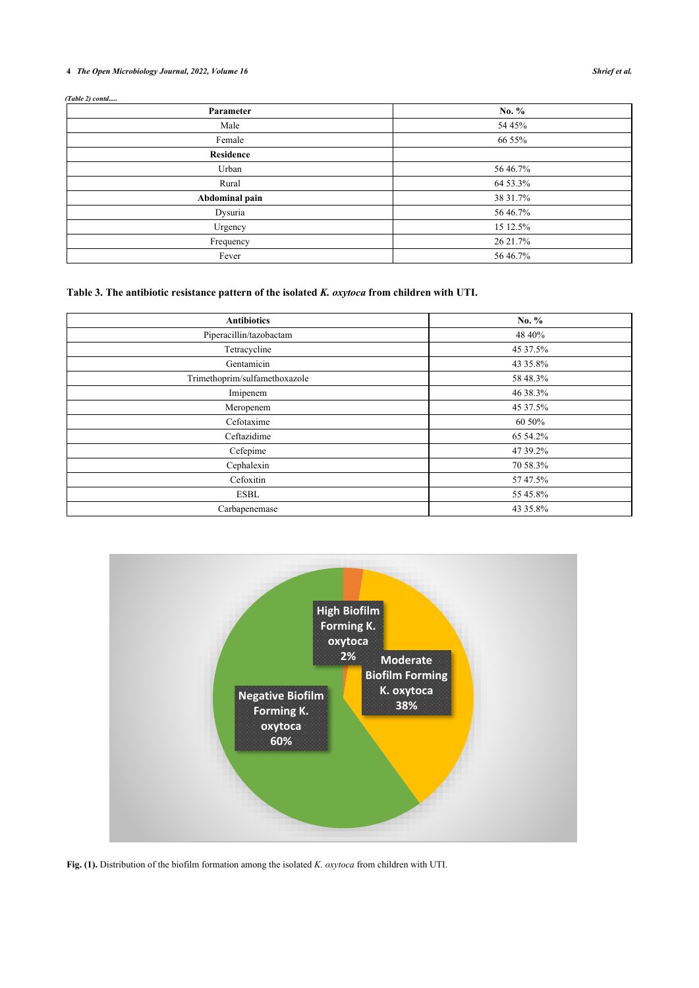# **4** *The Open Microbiology Journal, 2022, Volume 16 Shrief et al.*

*(Table 2) contd.....*

| Parameter        | No. %    |
|------------------|----------|
| Male             | 54 45%   |
| Female           | 66 55%   |
| <b>Residence</b> |          |
| Urban            | 56 46.7% |
| Rural            | 64 53.3% |
| Abdominal pain   | 38 31.7% |
| Dysuria          | 56 46.7% |
| Urgency          | 15 12.5% |
| Frequency        | 26 21.7% |
| Fever            | 56 46.7% |

<span id="page-3-0"></span>**Table 3. The antibiotic resistance pattern of the isolated** *K. oxytoca* **from children with UTI.**

| <b>Antibiotics</b>            | No. %    |
|-------------------------------|----------|
| Piperacillin/tazobactam       | 48 40%   |
| Tetracycline                  | 45 37.5% |
| Gentamicin                    | 43 35.8% |
| Trimethoprim/sulfamethoxazole | 58 48.3% |
| Imipenem                      | 46 38.3% |
| Meropenem                     | 45 37.5% |
| Cefotaxime                    | 60 50%   |
| Ceftazidime                   | 65 54.2% |
| Cefepime                      | 47 39.2% |
| Cephalexin                    | 70 58.3% |
| Cefoxitin                     | 57 47.5% |
| <b>ESBL</b>                   | 55 45.8% |
| Carbapenemase                 | 43 35.8% |

<span id="page-3-1"></span>

**Fig. (1).** Distribution of the biofilm formation among the isolated *K. oxytoca* from children with UTI.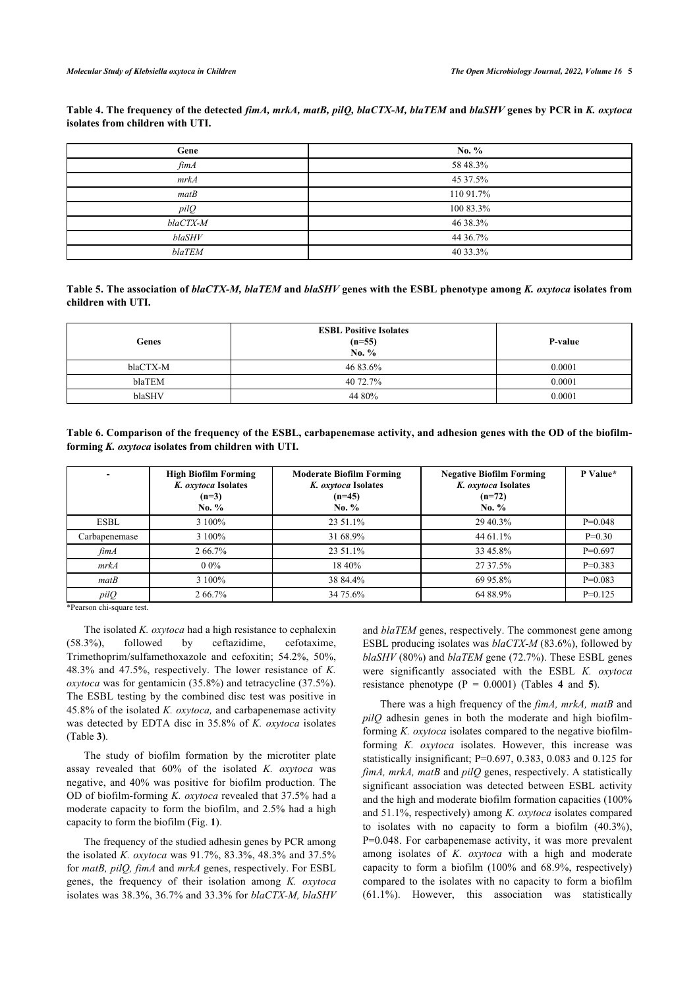<span id="page-4-0"></span>**Table 4. The frequency of the detected** *fimA, mrkA, matB, pilQ, blaCTX-M, blaTEM* **and** *blaSHV* **genes by PCR in** *K. oxytoca* **isolates from children with UTI.**

| Gene                   | No. $%$   |
|------------------------|-----------|
| $\operatorname{f\!im}$ | 58 48.3%  |
| mrkA                   | 45 37.5%  |
| matB                   | 110 91.7% |
| pilQ                   | 100 83.3% |
| blaCTX-M               | 46 38.3%  |
| blaSHV                 | 44 36.7%  |
| blaTEM                 | 40 33.3%  |

<span id="page-4-1"></span>**Table 5. The association of** *blaCTX-M, blaTEM* **and** *blaSHV* **genes with the ESBL phenotype among** *K. oxytoca* **isolates from children with UTI.**

| Genes    | <b>ESBL Positive Isolates</b><br>$(n=55)$<br>No. % | P-value |  |
|----------|----------------------------------------------------|---------|--|
| blaCTX-M | 46 83.6%                                           | 0.0001  |  |
| blaTEM   | 40 72.7%                                           | 0.0001  |  |
| blaSHV   | 44 80%                                             | 0.0001  |  |

<span id="page-4-2"></span>**Table 6. Comparison of the frequency of the ESBL, carbapenemase activity, and adhesion genes with the OD of the biofilmforming** *K. oxytoca* **isolates from children with UTI.**

| ۰                        | <b>High Biofilm Forming</b><br>K. oxytoca Isolates<br>$(n=3)$<br>No. $%$ | <b>Moderate Biofilm Forming</b><br>K. oxytoca Isolates<br>$(n=45)$<br>No. $%$ | <b>Negative Biofilm Forming</b><br>K. oxytoca Isolates<br>$(n=72)$<br>No. $%$ | P Value*  |
|--------------------------|--------------------------------------------------------------------------|-------------------------------------------------------------------------------|-------------------------------------------------------------------------------|-----------|
| <b>ESBL</b>              | 3 100%                                                                   | 23 51.1%                                                                      | 29 40.3%                                                                      | $P=0.048$ |
| Carbapenemase            | 3 100%                                                                   | 31 68.9%                                                                      | 44 61.1%                                                                      | $P=0.30$  |
| $\operatorname{f\!im} A$ | 266.7%                                                                   | 23 51.1%                                                                      | 33 45.8%                                                                      | $P=0.697$ |
| mrkA                     | $0.0\%$                                                                  | 18 40%                                                                        | 27 37.5%                                                                      | $P=0.383$ |
| matB                     | 3 100%                                                                   | 38 84.4%                                                                      | 69 95.8%                                                                      | $P=0.083$ |
| pilO                     | 2 66.7%                                                                  | 34 75.6%                                                                      | 64 88.9%                                                                      | $P=0.125$ |

\*Pearson chi-square test.

The isolated *K. oxytoca* had a high resistance to cephalexin (58.3%), followed by ceftazidime, cefotaxime, Trimethoprim/sulfamethoxazole and cefoxitin; 54.2%, 50%, 48.3% and 47.5%, respectively. The lower resistance of *K. oxytoca* was for gentamicin (35.8%) and tetracycline (37.5%). The ESBL testing by the combined disc test was positive in 45.8% of the isolated *K. oxytoca,* and carbapenemase activity was detected by EDTA disc in 35.8% of *K. oxytoca* isolates (Table **[3](#page-3-0)**).

The study of biofilm formation by the microtiter plate assay revealed that 60% of the isolated *K. oxytoca* was negative, and 40% was positive for biofilm production. The OD of biofilm-forming *K. oxytoca* revealed that 37.5% had a moderate capacity to form the biofilm, and 2.5% had a high capacity to form the biofilm (Fig. **[1](#page-3-1)**).

The frequency of the studied adhesin genes by PCR among the isolated *K. oxytoca* was 91.7%, 83.3%, 48.3% and 37.5% for *matB, pilQ, fimA* and *mrkA* genes, respectively. For ESBL genes, the frequency of their isolation among *K. oxytoca* isolates was 38.3%, 36.7% and 33.3% for *blaCTX-M, blaSHV* and *blaTEM* genes, respectively. The commonest gene among ESBL producing isolates was *blaCTX-M* (83.6%), followed by *blaSHV* (80%) and *blaTEM* gene (72.7%). These ESBL genes were significantly associated with the ESBL *K. oxytoca* resistancephenotype  $(P = 0.0001)$  (Tables 4 and 5).

There was a high frequency of the *fimA, mrkA, matB* and *pilQ* adhesin genes in both the moderate and high biofilmforming *K. oxytoca* isolates compared to the negative biofilmforming *K. oxytoca* isolates. However, this increase was statistically insignificant; P=0.697, 0.383, 0.083 and 0.125 for *fimA, mrkA, matB* and *pilQ* genes, respectively. A statistically significant association was detected between ESBL activity and the high and moderate biofilm formation capacities (100% and 51.1%, respectively) among *K. oxytoca* isolates compared to isolates with no capacity to form a biofilm (40.3%), P=0.048. For carbapenemase activity, it was more prevalent among isolates of *K. oxytoca* with a high and moderate capacity to form a biofilm (100% and 68.9%, respectively) compared to the isolates with no capacity to form a biofilm (61.1%). However, this association was statistically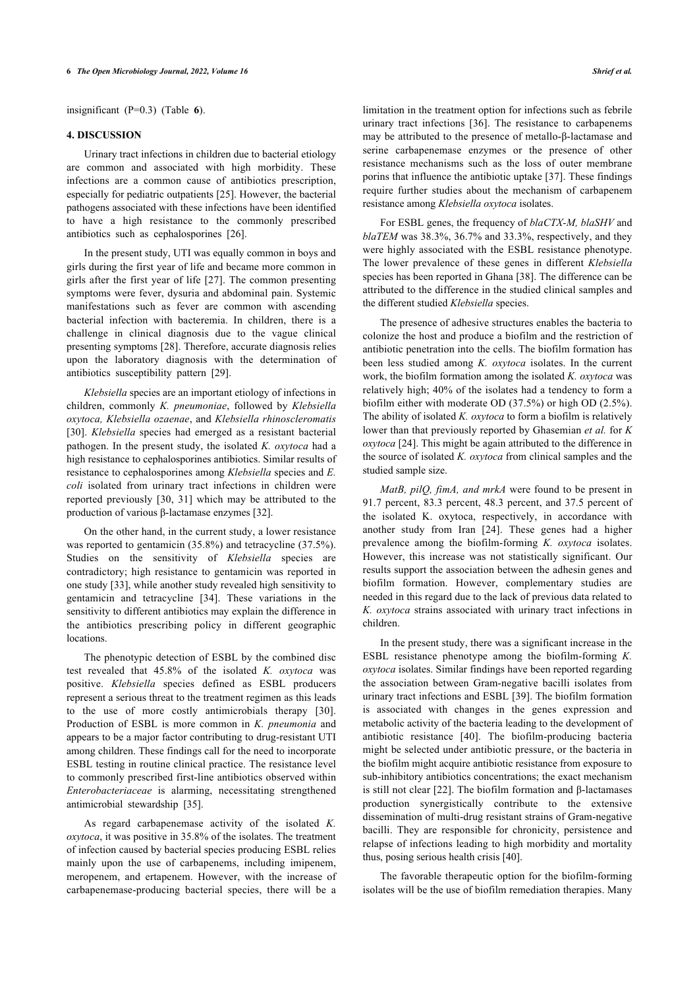insignificant (P=0.3) (Table**6**).

#### **4. DISCUSSION**

Urinary tract infections in children due to bacterial etiology are common and associated with high morbidity. These infections are a common cause of antibiotics prescription, especially for pediatric outpatients [\[25](#page-7-3)]. However, the bacterial pathogens associated with these infections have been identified to have a high resistance to the commonly prescribed antibiotics such as cephalosporines [\[26](#page-7-4)].

In the present study, UTI was equally common in boys and girls during the first year of life and became more common in girls after the first year of life [\[27\]](#page-7-5). The common presenting symptoms were fever, dysuria and abdominal pain. Systemic manifestations such as fever are common with ascending bacterial infection with bacteremia. In children, there is a challenge in clinical diagnosis due to the vague clinical presenting symptoms [[28\]](#page-7-6). Therefore, accurate diagnosis relies upon the laboratory diagnosis with the determination of antibiotics susceptibility pattern[[29\]](#page-7-7).

*Klebsiella* species are an important etiology of infections in children, commonly *K. pneumoniae*, followed by *Klebsiella oxytoca, Klebsiella ozaenae*, and *Klebsiella rhinoscleromatis* [[30\]](#page-7-8). *Klebsiella* species had emerged as a resistant bacterial pathogen. In the present study, the isolated *K. oxytoca* had a high resistance to cephalosporines antibiotics. Similar results of resistance to cephalosporines among *Klebsiella* species and *E. coli* isolated from urinary tract infections in children were reported previously[[30,](#page-7-8) [31\]](#page-7-9) which may be attributed to the production of various β-lactamase enzymes [\[32](#page-7-10)].

On the other hand, in the current study, a lower resistance was reported to gentamicin (35.8%) and tetracycline (37.5%). Studies on the sensitivity of *Klebsiella* species are contradictory; high resistance to gentamicin was reported in one study [\[33](#page-7-11)], while another study revealed high sensitivity to gentamicin and tetracycline [\[34\]](#page-7-2). These variations in the sensitivity to different antibiotics may explain the difference in the antibiotics prescribing policy in different geographic **locations** 

The phenotypic detection of ESBL by the combined disc test revealed that 45.8% of the isolated *K. oxytoca* was positive. *Klebsiella* species defined as ESBL producers represent a serious threat to the treatment regimen as this leads to the use of more costly antimicrobials therapy[[30\]](#page-7-8). Production of ESBL is more common in *K. pneumonia* and appears to be a major factor contributing to drug-resistant UTI among children. These findings call for the need to incorporate ESBL testing in routine clinical practice. The resistance level to commonly prescribed first-line antibiotics observed within *Enterobacteriaceae* is alarming, necessitating strengthened antimicrobial stewardship [\[35](#page-7-3)].

As regard carbapenemase activity of the isolated *K. oxytoca*, it was positive in 35.8% of the isolates. The treatment of infection caused by bacterial species producing ESBL relies mainly upon the use of carbapenems, including imipenem, meropenem, and ertapenem. However, with the increase of carbapenemase-producing bacterial species, there will be a

limitation in the treatment option for infections such as febrile urinary tract infections[[36](#page-7-4)]. The resistance to carbapenems may be attributed to the presence of metallo-β-lactamase and serine carbapenemase enzymes or the presence of other resistance mechanisms such as the loss of outer membrane porins that influence the antibiotic uptake [[37\]](#page-7-12). These findings require further studies about the mechanism of carbapenem resistance among *Klebsiella oxytoca* isolates.

For ESBL genes, the frequency of *blaCTX-M, blaSHV* and *blaTEM* was 38.3%, 36.7% and 33.3%, respectively, and they were highly associated with the ESBL resistance phenotype. The lower prevalence of these genes in different *Klebsiella* species has been reported in Ghana [[38\]](#page-7-13). The difference can be attributed to the difference in the studied clinical samples and the different studied *Klebsiella* species.

The presence of adhesive structures enables the bacteria to colonize the host and produce a biofilm and the restriction of antibiotic penetration into the cells. The biofilm formation has been less studied among *K. oxytoca* isolates. In the current work, the biofilm formation among the isolated *K. oxytoca* was relatively high; 40% of the isolates had a tendency to form a biofilm either with moderate OD (37.5%) or high OD (2.5%). The ability of isolated *K. oxytoca* to form a biofilm is relatively lower than that previously reported by Ghasemian *et al.* for *K oxytoca* [\[24](#page-7-2)]. This might be again attributed to the difference in the source of isolated *K. oxytoca* from clinical samples and the studied sample size.

*MatB, pilQ, fimA, and mrkA* were found to be present in 91.7 percent, 83.3 percent, 48.3 percent, and 37.5 percent of the isolated K. oxytoca, respectively, in accordance with another study from Iran[[24\]](#page-7-2). These genes had a higher prevalence among the biofilm-forming *K. oxytoca* isolates. However, this increase was not statistically significant. Our results support the association between the adhesin genes and biofilm formation. However, complementary studies are needed in this regard due to the lack of previous data related to *K. oxytoca* strains associated with urinary tract infections in children.

In the present study, there was a significant increase in the ESBL resistance phenotype among the biofilm-forming *K. oxytoca* isolates. Similar findings have been reported regarding the association between Gram-negative bacilli isolates from urinary tract infections and ESBL [\[39](#page-7-14)]. The biofilm formation is associated with changes in the genes expression and metabolic activity of the bacteria leading to the development of antibiotic resistance [\[40](#page-7-15)]. The biofilm-producing bacteria might be selected under antibiotic pressure, or the bacteria in the biofilm might acquire antibiotic resistance from exposure to sub-inhibitory antibiotics concentrations; the exact mechanism is still not clear [\[22\]](#page-7-0). The biofilm formation and β-lactamases production synergistically contribute to the extensive dissemination of multi-drug resistant strains of Gram-negative bacilli. They are responsible for chronicity, persistence and relapse of infections leading to high morbidity and mortality thus, posing serious health crisis [[40\]](#page-7-15).

The favorable therapeutic option for the biofilm-forming isolates will be the use of biofilm remediation therapies. Many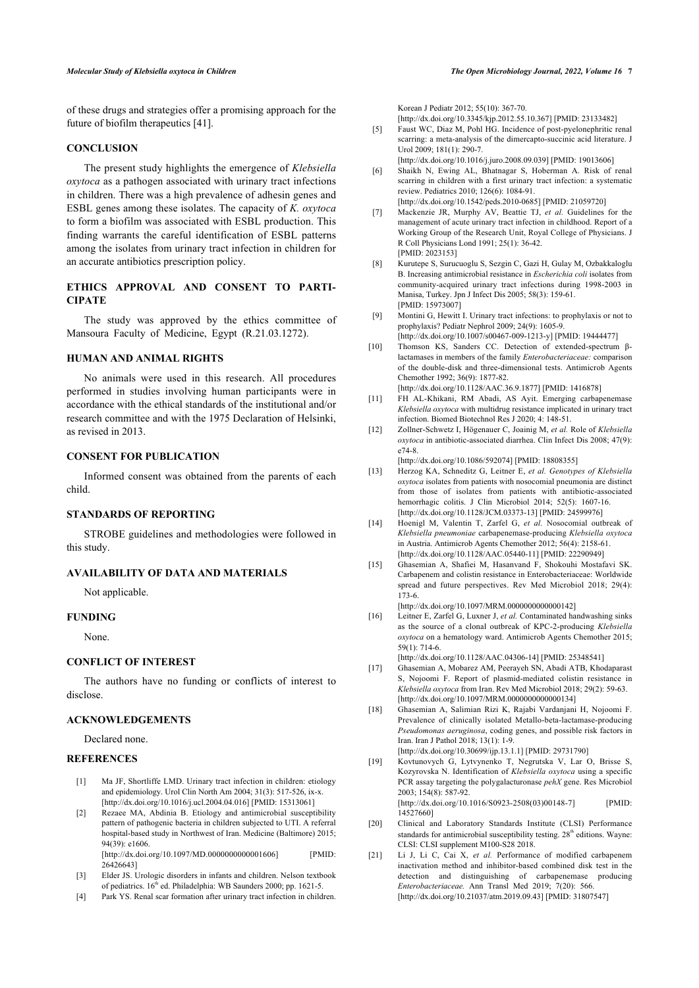of these drugs and strategies offer a promising approach for the future of biofilm therapeutics [[41\]](#page-7-9).

# <span id="page-6-4"></span>**CONCLUSION**

<span id="page-6-6"></span><span id="page-6-5"></span>The present study highlights the emergence of *Klebsiella oxytoca* as a pathogen associated with urinary tract infections in children. There was a high prevalence of adhesin genes and ESBL genes among these isolates. The capacity of *K. oxytoca* to form a biofilm was associated with ESBL production. This finding warrants the careful identification of ESBL patterns among the isolates from urinary tract infection in children for an accurate antibiotics prescription policy.

# <span id="page-6-7"></span>**ETHICS APPROVAL AND CONSENT TO PARTI-CIPATE**

<span id="page-6-8"></span>The study was approved by the ethics committee of Mansoura Faculty of Medicine, Egypt (R.21.03.1272).

#### <span id="page-6-9"></span>**HUMAN AND ANIMAL RIGHTS**

<span id="page-6-10"></span>No animals were used in this research. All procedures performed in studies involving human participants were in accordance with the ethical standards of the institutional and/or research committee and with the 1975 Declaration of Helsinki, as revised in 2013.

# <span id="page-6-11"></span>**CONSENT FOR PUBLICATION**

<span id="page-6-12"></span>Informed consent was obtained from the parents of each child.

# **STANDARDS OF REPORTING**

<span id="page-6-13"></span>STROBE guidelines and methodologies were followed in this study.

# <span id="page-6-14"></span>**AVAILABILITY OF DATA AND MATERIALS**

Not applicable.

# <span id="page-6-15"></span>**FUNDING**

None.

# <span id="page-6-16"></span>**CONFLICT OF INTEREST**

The authors have no funding or conflicts of interest to disclose.

### <span id="page-6-17"></span>**ACKNOWLEDGEMENTS**

Declared none.

#### <span id="page-6-18"></span><span id="page-6-0"></span>**REFERENCES**

- [1] Ma JF, Shortliffe LMD. Urinary tract infection in children: etiology and epidemiology. Urol Clin North Am 2004; 31(3): 517-526, ix-x. [\[http://dx.doi.org/10.1016/j.ucl.2004.04.016](http://dx.doi.org/10.1016/j.ucl.2004.04.016)] [PMID: [15313061\]](http://www.ncbi.nlm.nih.gov/pubmed/15313061)
- <span id="page-6-19"></span><span id="page-6-1"></span>[2] Rezaee MA, Abdinia B. Etiology and antimicrobial susceptibility pattern of pathogenic bacteria in children subjected to UTI. A referral hospital-based study in Northwest of Iran. Medicine (Baltimore) 2015; 94(39): e1606. [\[http://dx.doi.org/10.1097/MD.0000000000001606\]](http://dx.doi.org/10.1097/MD.0000000000001606) [PMID:
- <span id="page-6-20"></span><span id="page-6-2"></span>[26426643\]](http://www.ncbi.nlm.nih.gov/pubmed/26426643) [3] Elder JS. Urologic disorders in infants and children. Nelson textbook of pediatrics.  $16<sup>th</sup>$  ed. Philadelphia: WB Saunders 2000; pp. 1621-5.
- <span id="page-6-3"></span>[4] Park YS. Renal scar formation after urinary tract infection in children.

Korean J Pediatr 2012; 55(10): 367-70. [\[http://dx.doi.org/10.3345/kjp.2012.55.10.367\]](http://dx.doi.org/10.3345/kjp.2012.55.10.367) [PMID: [23133482\]](http://www.ncbi.nlm.nih.gov/pubmed/23133482)

- [5] Faust WC, Diaz M, Pohl HG. Incidence of post-pyelonephritic renal scarring: a meta-analysis of the dimercapto-succinic acid literature. J Urol 2009; 181(1): 290-7.
	- [\[http://dx.doi.org/10.1016/j.juro.2008.09.039](http://dx.doi.org/10.1016/j.juro.2008.09.039)] [PMID: [19013606\]](http://www.ncbi.nlm.nih.gov/pubmed/19013606)
- [6] Shaikh N, Ewing AL, Bhatnagar S, Hoberman A. Risk of renal scarring in children with a first urinary tract infection: a systematic review. Pediatrics 2010; 126(6): 1084-91. [\[http://dx.doi.org/10.1542/peds.2010-0685](http://dx.doi.org/10.1542/peds.2010-0685)] [PMID: [21059720\]](http://www.ncbi.nlm.nih.gov/pubmed/21059720)
- [7] Mackenzie JR, Murphy AV, Beattie TJ, *et al.* Guidelines for the management of acute urinary tract infection in childhood. Report of a Working Group of the Research Unit, Royal College of Physicians. J R Coll Physicians Lond 1991; 25(1): 36-42. [PMID: [2023153](http://www.ncbi.nlm.nih.gov/pubmed/2023153)]
- [8] Kurutepe S, Surucuoglu S, Sezgin C, Gazi H, Gulay M, Ozbakkaloglu B. Increasing antimicrobial resistance in *Escherichia coli* isolates from community-acquired urinary tract infections during 1998-2003 in Manisa, Turkey. Jpn J Infect Dis 2005: 58(3): 159-61. [PMID: [15973007\]](http://www.ncbi.nlm.nih.gov/pubmed/15973007)
- [9] Montini G, Hewitt I. Urinary tract infections: to prophylaxis or not to prophylaxis? Pediatr Nephrol 2009; 24(9): 1605-9. [\[http://dx.doi.org/10.1007/s00467-009-1213-y\]](http://dx.doi.org/10.1007/s00467-009-1213-y) [PMID: [19444477](http://www.ncbi.nlm.nih.gov/pubmed/19444477)]
- [10] Thomson KS, Sanders CC. Detection of extended-spectrum βlactamases in members of the family *Enterobacteriaceae:* comparison of the double-disk and three-dimensional tests. Antimicrob Agents Chemother 1992; 36(9): 1877-82. [\[http://dx.doi.org/10.1128/AAC.36.9.1877\]](http://dx.doi.org/10.1128/AAC.36.9.1877) [PMID: [1416878](http://www.ncbi.nlm.nih.gov/pubmed/1416878)]
- [11] FH AL-Khikani, RM Abadi, AS Ayit. Emerging carbapenemase *Klebsiella oxytoca* with multidrug resistance implicated in urinary tract infection. Biomed Biotechnol Res J 2020; 4: 148-51.
- [12] Zollner-Schwetz I, Högenauer C, Joainig M, *et al.* Role of *Klebsiella oxytoca* in antibiotic-associated diarrhea. Clin Infect Dis 2008; 47(9): e74-8.

[\[http://dx.doi.org/10.1086/592074](http://dx.doi.org/10.1086/592074)] [PMID: [18808355](http://www.ncbi.nlm.nih.gov/pubmed/18808355)]

- [13] Herzog KA, Schneditz G, Leitner E, *et al. Genotypes of Klebsiella oxytoca* isolates from patients with nosocomial pneumonia are distinct from those of isolates from patients with antibiotic-associated hemorrhagic colitis. J Clin Microbiol 2014; 52(5): 1607-16. [\[http://dx.doi.org/10.1128/JCM.03373-13\]](http://dx.doi.org/10.1128/JCM.03373-13) [PMID: [24599976](http://www.ncbi.nlm.nih.gov/pubmed/24599976)]
- [14] Hoenigl M, Valentin T, Zarfel G, *et al.* Nosocomial outbreak of *Klebsiella pneumoniae* carbapenemase-producing *Klebsiella oxytoca* in Austria. Antimicrob Agents Chemother 2012; 56(4): 2158-61. [\[http://dx.doi.org/10.1128/AAC.05440-11\]](http://dx.doi.org/10.1128/AAC.05440-11) [PMID: [22290949](http://www.ncbi.nlm.nih.gov/pubmed/22290949)]
- [15] Ghasemian A, Shafiei M, Hasanvand F, Shokouhi Mostafavi SK. Carbapenem and colistin resistance in Enterobacteriaceae: Worldwide spread and future perspectives. Rev Med Microbiol 2018; 29(4): 173-6.
	- [\[http://dx.doi.org/10.1097/MRM.0000000000000142](http://dx.doi.org/10.1097/MRM.0000000000000142)]
- [16] Leitner E, Zarfel G, Luxner J, *et al.* Contaminated handwashing sinks as the source of a clonal outbreak of KPC-2-producing *Klebsiella oxytoca* on a hematology ward. Antimicrob Agents Chemother 2015; 59(1): 714-6.

[\[http://dx.doi.org/10.1128/AAC.04306-14\]](http://dx.doi.org/10.1128/AAC.04306-14) [PMID: [25348541](http://www.ncbi.nlm.nih.gov/pubmed/25348541)]

- [17] Ghasemian A, Mobarez AM, Peerayeh SN, Abadi ATB, Khodaparast S, Nojoomi F. Report of plasmid-mediated colistin resistance in *Klebsiella oxytoca* from Iran. Rev Med Microbiol 2018; 29(2): 59-63. [\[http://dx.doi.org/10.1097/MRM.0000000000000134](http://dx.doi.org/10.1097/MRM.0000000000000134)]
- [18] Ghasemian A, Salimian Rizi K, Rajabi Vardanjani H, Nojoomi F. Prevalence of clinically isolated Metallo-beta-lactamase-producing *Pseudomonas aeruginosa*, coding genes, and possible risk factors in Iran. Iran J Pathol 2018; 13(1): 1-9.
- [\[http://dx.doi.org/10.30699/ijp.13.1.1\]](http://dx.doi.org/10.30699/ijp.13.1.1) [PMID: [29731790](http://www.ncbi.nlm.nih.gov/pubmed/29731790)] [19] Kovtunovych G, Lytvynenko T, Negrutska V, Lar O, Brisse S,
	- Kozyrovska N. Identification of *Klebsiella oxytoca* using a specific PCR assay targeting the polygalacturonase *pehX* gene. Res Microbiol 2003; 154(8): 587-92. [\[http://dx.doi.org/10.1016/S0923-2508\(03\)00148-7](http://dx.doi.org/10.1016/S0923-2508(03)00148-7)] [PMID:

[14527660\]](http://www.ncbi.nlm.nih.gov/pubmed/14527660)

- [20] Clinical and Laboratory Standards Institute (CLSI) Performance standards for antimicrobial susceptibility testing. 28<sup>th</sup> editions. Wayne: CLSI: CLSI supplement M100-S28 2018.
- [21] Li J, Li C, Cai X, et al. Performance of modified carbapenem inactivation method and inhibitor-based combined disk test in the detection and distinguishing of carbapenemase producing *Enterobacteriaceae.* Ann Transl Med 2019; 7(20): 566. [\[http://dx.doi.org/10.21037/atm.2019.09.43\]](http://dx.doi.org/10.21037/atm.2019.09.43) [PMID: [31807547](http://www.ncbi.nlm.nih.gov/pubmed/31807547)]